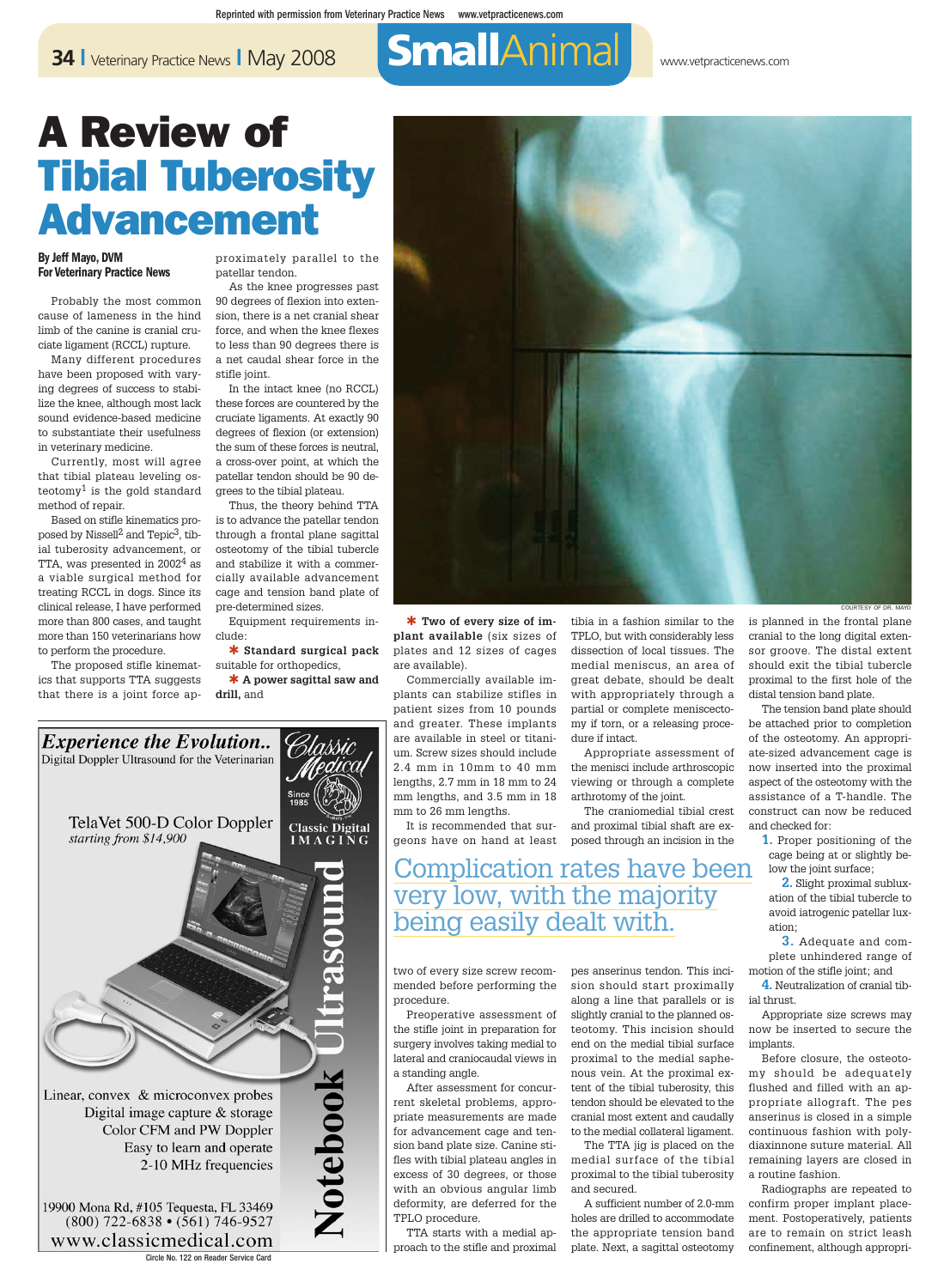# **34 L** Veterinary Practice News **L** May 2008 SmallAnimal Www.vetpracticenews.com

## A Review of **Tibial Tuberosity** Advancement

#### By Jeff Mayo, DVM For Veterinary Practice News

Probably the most common cause of lameness in the hind limb of the canine is cranial cruciate ligament (RCCL) rupture.

Many different procedures have been proposed with varying degrees of success to stabilize the knee, although most lack sound evidence-based medicine to substantiate their usefulness in veterinary medicine.

Currently, most will agree that tibial plateau leveling osteotomy<sup>1</sup> is the gold standard method of repair.

Based on stifle kinematics proposed by Nissell2 and Tepic3, tibial tuberosity advancement, or TTA, was presented in 2002<sup>4</sup> as a viable surgical method for treating RCCL in dogs. Since its clinical release, I have performed more than 800 cases, and taught more than 150 veterinarians how to perform the procedure.

The proposed stifle kinematics that supports TTA suggests that there is a joint force approximately parallel to the patellar tendon.

As the knee progresses past 90 degrees of flexion into extension, there is a net cranial shear force, and when the knee flexes to less than 90 degrees there is a net caudal shear force in the stifle joint.

In the intact knee (no RCCL) these forces are countered by the cruciate ligaments. At exactly 90 degrees of flexion (or extension) the sum of these forces is neutral, a cross-over point, at which the patellar tendon should be 90 degrees to the tibial plateau.

Thus, the theory behind TTA is to advance the patellar tendon through a frontal plane sagittal osteotomy of the tibial tubercle and stabilize it with a commercially available advancement cage and tension band plate of pre-determined sizes.

Equipment requirements include:

✱ **Standard surgical pack** suitable for orthopedics, ✱ **A power sagittal saw and**

**drill,** and



✱ **Two of every size of implant available** (six sizes of plates and 12 sizes of cages are available).

Commercially available implants can stabilize stifles in patient sizes from 10 pounds and greater. These implants are available in steel or titanium. Screw sizes should include 2.4 mm in 10mm to 40 mm lengths, 2.7 mm in 18 mm to 24 mm lengths, and 3.5 mm in 18 mm to 26 mm lengths.

It is recommended that sur-

tibia in a fashion similar to the TPLO, but with considerably less dissection of local tissues. The medial meniscus, an area of great debate, should be dealt with appropriately through a partial or complete meniscectomy if torn, or a releasing procedure if intact.

Appropriate assessment of the menisci include arthroscopic viewing or through a complete arthrotomy of the joint.

geons have on hand at least posed through an incision in the The craniomedial tibial crest and proximal tibial shaft are ex-

Complication rates have been very low, with the majority being easily dealt with.

two of every size screw recommended before performing the procedure.

Preoperative assessment of the stifle joint in preparation for surgery involves taking medial to lateral and craniocaudal views in a standing angle.

After assessment for concurrent skeletal problems, appropriate measurements are made for advancement cage and tension band plate size. Canine stifles with tibial plateau angles in excess of 30 degrees, or those with an obvious angular limb deformity, are deferred for the TPLO procedure.

TTA starts with a medial approach to the stifle and proximal pes anserinus tendon. This incision should start proximally along a line that parallels or is slightly cranial to the planned osteotomy. This incision should end on the medial tibial surface proximal to the medial saphenous vein. At the proximal extent of the tibial tuberosity, this tendon should be elevated to the cranial most extent and caudally to the medial collateral ligament.

The TTA jig is placed on the medial surface of the tibial proximal to the tibial tuberosity and secured.

A sufficient number of 2.0-mm holes are drilled to accommodate the appropriate tension band plate. Next, a sagittal osteotomy is planned in the frontal plane cranial to the long digital extensor groove. The distal extent should exit the tibial tubercle proximal to the first hole of the distal tension band plate.

The tension band plate should be attached prior to completion of the osteotomy. An appropriate-sized advancement cage is now inserted into the proximal aspect of the osteotomy with the assistance of a T-handle. The construct can now be reduced and checked for:

**1.** Proper positioning of the cage being at or slightly below the joint surface;

**2.** Slight proximal subluxation of the tibial tubercle to avoid iatrogenic patellar luxation;

**3.** Adequate and complete unhindered range of motion of the stifle joint; and

**4.** Neutralization of cranial tibial thrust.

Appropriate size screws may now be inserted to secure the implants.

Before closure, the osteotomy should be adequately flushed and filled with an appropriate allograft. The pes anserinus is closed in a simple continuous fashion with polydiaxinnone suture material. All remaining layers are closed in a routine fashion.

Radiographs are repeated to confirm proper implant placement. Postoperatively, patients are to remain on strict leash confinement, although appropri-